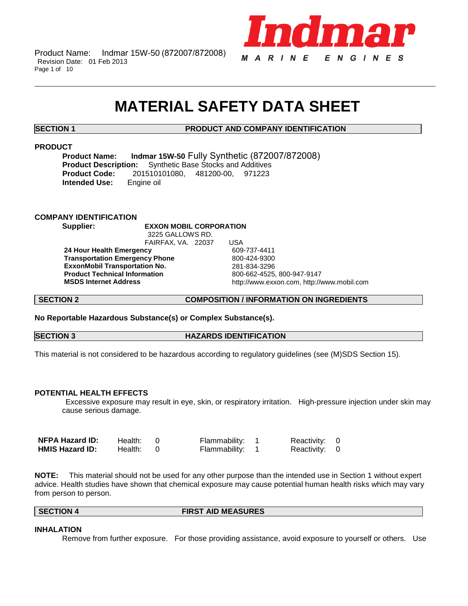Product Name: Indmar 15W-50 (872007/872008) Revision Date: 01 Feb 2013 Page 1 of 10



# **MATERIAL SAFETY DATA SHEET**

\_\_\_\_\_\_\_\_\_\_\_\_\_\_\_\_\_\_\_\_\_\_\_\_\_\_\_\_\_\_\_\_\_\_\_\_\_\_\_\_\_\_\_\_\_\_\_\_\_\_\_\_\_\_\_\_\_\_\_\_\_\_\_\_\_\_\_\_\_\_\_\_\_\_\_\_\_\_\_\_\_\_\_\_\_\_\_\_\_\_\_\_\_\_\_\_\_\_\_\_\_\_\_\_\_\_\_\_\_\_\_\_\_\_\_\_\_\_

# **SECTION 1 PRODUCT AND COMPANY IDENTIFICATION**

# **PRODUCT**

**Product Name: Indmar 15W-50** Fully Synthetic (872007/872008)<br>**Product Description:** Synthetic Base Stocks and Additives **Synthetic Base Stocks and Additives Product Code:** 201510101080, 481200-00, 971223 **Intended Use:** 

# **COMPANY IDENTIFICATION**

**Supplier: EXXON MOBIL CORPORATION** 3225 GALLOWS RD.

FAIRFAX, VA. 22037 USA **24 Hour Health Emergency** 609-737-4411 **Transportation Emergency Phone** 800-424-9300 **ExxonMobil Transportation No.** 281-834-3296 **Product Technical Information<br>MSDS Internet Address** 

**MSDS Internet Address** http://www.exxon.com, http://www.mobil.com

**SECTION 2 COMPOSITION / INFORMATION ON INGREDIENTS**

**No Reportable Hazardous Substance(s) or Complex Substance(s).**

**SECTION 3 HAZARDS IDENTIFICATION** 

This material is not considered to be hazardous according to regulatory guidelines (see (M)SDS Section 15).

# **POTENTIAL HEALTH EFFECTS**

Excessive exposure may result in eye, skin, or respiratory irritation. High-pressure injection under skin may cause serious damage.

| <b>NFPA Hazard ID:</b> | Health: 0 | Flammability: 1 | Reactivity: 0 |  |
|------------------------|-----------|-----------------|---------------|--|
| <b>HMIS Hazard ID:</b> | Health: 0 | Flammability: 1 | Reactivity: 0 |  |

**NOTE:** This material should not be used for any other purpose than the intended use in Section 1 without expert advice. Health studies have shown that chemical exposure may cause potential human health risks which may vary from person to person.

**SECTION 4 FIRST AID MEASURES**

# **INHALATION**

Remove from further exposure. For those providing assistance, avoid exposure to yourself or others. Use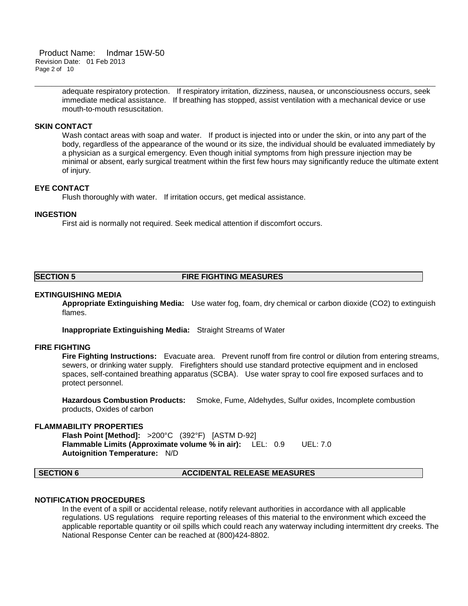Product Name: Indmar 15W-50 Revision Date: 01 Feb 2013 Page 2 of 10

> adequate respiratory protection. If respiratory irritation, dizziness, nausea, or unconsciousness occurs, seek immediate medical assistance. If breathing has stopped, assist ventilation with a mechanical device or use mouth-to-mouth resuscitation.

\_\_\_\_\_\_\_\_\_\_\_\_\_\_\_\_\_\_\_\_\_\_\_\_\_\_\_\_\_\_\_\_\_\_\_\_\_\_\_\_\_\_\_\_\_\_\_\_\_\_\_\_\_\_\_\_\_\_\_\_\_\_\_\_\_\_\_\_\_\_\_\_\_\_\_\_\_\_\_\_\_\_\_\_\_\_\_\_\_\_\_\_\_\_\_\_\_\_\_\_\_\_\_\_\_\_\_\_\_\_\_\_\_\_\_\_\_\_

# **SKIN CONTACT**

Wash contact areas with soap and water. If product is injected into or under the skin, or into any part of the body, regardless of the appearance of the wound or its size, the individual should be evaluated immediately by a physician as a surgical emergency. Even though initial symptoms from high pressure injection may be minimal or absent, early surgical treatment within the first few hours may significantly reduce the ultimate extent of injury.

# **EYE CONTACT**

Flush thoroughly with water. If irritation occurs, get medical assistance.

### **INGESTION**

First aid is normally not required. Seek medical attention if discomfort occurs.

# **SECTION 5 FIRE FIGHTING MEASURES**

# **EXTINGUISHING MEDIA**

**Appropriate Extinguishing Media:** Use water fog, foam, dry chemical or carbon dioxide (CO2) to extinguish flames.

**Inappropriate Extinguishing Media:** Straight Streams of Water

### **FIRE FIGHTING**

**Fire Fighting Instructions:** Evacuate area. Prevent runoff from fire control or dilution from entering streams, sewers, or drinking water supply. Firefighters should use standard protective equipment and in enclosed spaces, self-contained breathing apparatus (SCBA). Use water spray to cool fire exposed surfaces and to protect personnel.

**Hazardous Combustion Products:** Smoke, Fume, Aldehydes, Sulfur oxides, Incomplete combustion products, Oxides of carbon

### **FLAMMABILITY PROPERTIES**

**Flash Point [Method]:** >200°C (392°F) [ASTM D-92] **Flammable Limits (Approximate volume % in air):** LEL: 0.9 UEL: 7.0 **Autoignition Temperature:** N/D

### **SECTION 6 ACCIDENTAL RELEASE MEASURES**

### **NOTIFICATION PROCEDURES**

In the event of a spill or accidental release, notify relevant authorities in accordance with all applicable regulations. US regulations require reporting releases of this material to the environment which exceed the applicable reportable quantity or oil spills which could reach any waterway including intermittent dry creeks. The National Response Center can be reached at (800)424-8802.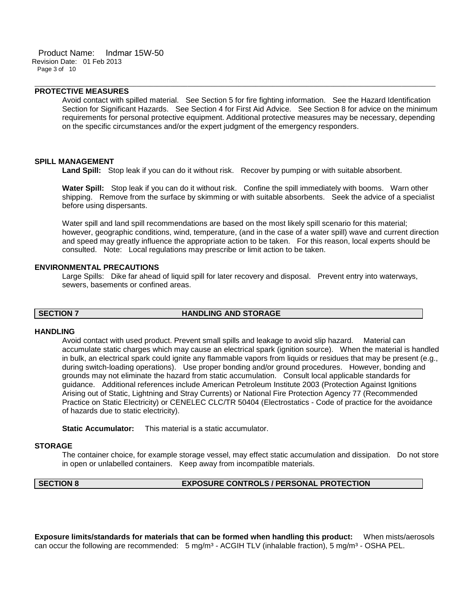# **PROTECTIVE MEASURES**

Avoid contact with spilled material. See Section 5 for fire fighting information. See the Hazard Identification Section for Significant Hazards. See Section 4 for First Aid Advice. See Section 8 for advice on the minimum requirements for personal protective equipment. Additional protective measures may be necessary, depending on the specific circumstances and/or the expert judgment of the emergency responders.

\_\_\_\_\_\_\_\_\_\_\_\_\_\_\_\_\_\_\_\_\_\_\_\_\_\_\_\_\_\_\_\_\_\_\_\_\_\_\_\_\_\_\_\_\_\_\_\_\_\_\_\_\_\_\_\_\_\_\_\_\_\_\_\_\_\_\_\_\_\_\_\_\_\_\_\_\_\_\_\_\_\_\_\_\_\_\_\_\_\_\_\_\_\_\_\_\_\_\_\_\_\_\_\_\_\_\_\_\_\_\_\_\_\_\_\_\_\_

### **SPILL MANAGEMENT**

**Land Spill:** Stop leak if you can do it without risk. Recover by pumping or with suitable absorbent.

**Water Spill:** Stop leak if you can do it without risk. Confine the spill immediately with booms. Warn other shipping. Remove from the surface by skimming or with suitable absorbents. Seek the advice of a specialist before using dispersants.

Water spill and land spill recommendations are based on the most likely spill scenario for this material; however, geographic conditions, wind, temperature, (and in the case of a water spill) wave and current direction and speed may greatly influence the appropriate action to be taken. For this reason, local experts should be consulted. Note: Local regulations may prescribe or limit action to be taken.

#### **ENVIRONMENTAL PRECAUTIONS**

Large Spills: Dike far ahead of liquid spill for later recovery and disposal. Prevent entry into waterways, sewers, basements or confined areas.

### **SECTION 7 HANDLING AND STORAGE**

### **HANDLING**

Avoid contact with used product. Prevent small spills and leakage to avoid slip hazard. Material can accumulate static charges which may cause an electrical spark (ignition source). When the material is handled in bulk, an electrical spark could ignite any flammable vapors from liquids or residues that may be present (e.g., during switch-loading operations). Use proper bonding and/or ground procedures. However, bonding and grounds may not eliminate the hazard from static accumulation. Consult local applicable standards for guidance. Additional references include American Petroleum Institute 2003 (Protection Against Ignitions Arising out of Static, Lightning and Stray Currents) or National Fire Protection Agency 77 (Recommended Practice on Static Electricity) or CENELEC CLC/TR 50404 (Electrostatics - Code of practice for the avoidance of hazards due to static electricity).

**Static Accumulator:** This material is a static accumulator.

### **STORAGE**

The container choice, for example storage vessel, may effect static accumulation and dissipation. Do not store in open or unlabelled containers. Keep away from incompatible materials.

### **SECTION 8 EXPOSURE CONTROLS / PERSONAL PROTECTION**

**Exposure limits/standards for materials that can be formed when handling this product:** When mists/aerosols can occur the following are recommended: 5 mg/m<sup>3</sup> - ACGIH TLV (inhalable fraction), 5 mg/m<sup>3</sup> - OSHA PEL.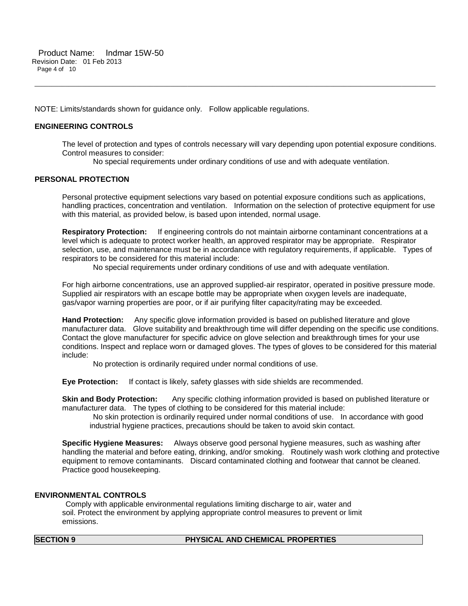NOTE: Limits/standards shown for guidance only. Follow applicable regulations.

# **ENGINEERING CONTROLS**

The level of protection and types of controls necessary will vary depending upon potential exposure conditions. Control measures to consider:

No special requirements under ordinary conditions of use and with adequate ventilation.

\_\_\_\_\_\_\_\_\_\_\_\_\_\_\_\_\_\_\_\_\_\_\_\_\_\_\_\_\_\_\_\_\_\_\_\_\_\_\_\_\_\_\_\_\_\_\_\_\_\_\_\_\_\_\_\_\_\_\_\_\_\_\_\_\_\_\_\_\_\_\_\_\_\_\_\_\_\_\_\_\_\_\_\_\_\_\_\_\_\_\_\_\_\_\_\_\_\_\_\_\_\_\_\_\_\_\_\_\_\_\_\_\_\_\_\_\_\_

# **PERSONAL PROTECTION**

Personal protective equipment selections vary based on potential exposure conditions such as applications, handling practices, concentration and ventilation. Information on the selection of protective equipment for use with this material, as provided below, is based upon intended, normal usage.

**Respiratory Protection:** If engineering controls do not maintain airborne contaminant concentrations at a level which is adequate to protect worker health, an approved respirator may be appropriate. Respirator selection, use, and maintenance must be in accordance with regulatory requirements, if applicable. Types of respirators to be considered for this material include:

No special requirements under ordinary conditions of use and with adequate ventilation.

For high airborne concentrations, use an approved supplied-air respirator, operated in positive pressure mode. Supplied air respirators with an escape bottle may be appropriate when oxygen levels are inadequate, gas/vapor warning properties are poor, or if air purifying filter capacity/rating may be exceeded.

**Hand Protection:** Any specific glove information provided is based on published literature and glove manufacturer data. Glove suitability and breakthrough time will differ depending on the specific use conditions. Contact the glove manufacturer for specific advice on glove selection and breakthrough times for your use conditions. Inspect and replace worn or damaged gloves. The types of gloves to be considered for this material include:

No protection is ordinarily required under normal conditions of use.

**Eye Protection:** If contact is likely, safety glasses with side shields are recommended.

**Skin and Body Protection:** Any specific clothing information provided is based on published literature or manufacturer data. The types of clothing to be considered for this material include:

No skin protection is ordinarily required under normal conditions of use. In accordance with good industrial hygiene practices, precautions should be taken to avoid skin contact.

**Specific Hygiene Measures:** Always observe good personal hygiene measures, such as washing after handling the material and before eating, drinking, and/or smoking. Routinely wash work clothing and protective equipment to remove contaminants. Discard contaminated clothing and footwear that cannot be cleaned. Practice good housekeeping.

# **ENVIRONMENTAL CONTROLS**

Comply with applicable environmental regulations limiting discharge to air, water and soil. Protect the environment by applying appropriate control measures to prevent or limit emissions.

### **SECTION 9 PHYSICAL AND CHEMICAL PROPERTIES**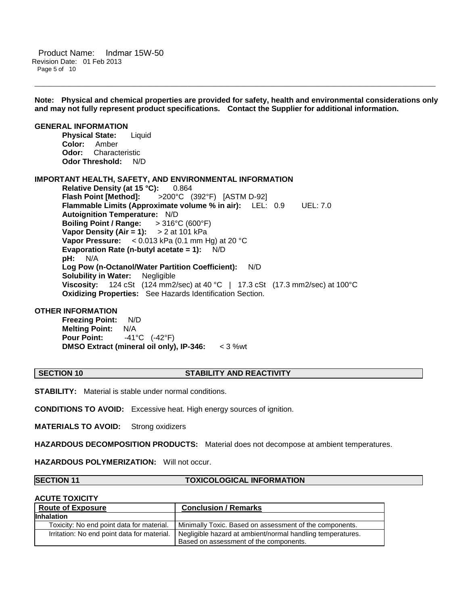**Note: Physical and chemical properties are provided for safety, health and environmental considerations only and may not fully represent product specifications. Contact the Supplier for additional information.**

\_\_\_\_\_\_\_\_\_\_\_\_\_\_\_\_\_\_\_\_\_\_\_\_\_\_\_\_\_\_\_\_\_\_\_\_\_\_\_\_\_\_\_\_\_\_\_\_\_\_\_\_\_\_\_\_\_\_\_\_\_\_\_\_\_\_\_\_\_\_\_\_\_\_\_\_\_\_\_\_\_\_\_\_\_\_\_\_\_\_\_\_\_\_\_\_\_\_\_\_\_\_\_\_\_\_\_\_\_\_\_\_\_\_\_\_\_\_

### **GENERAL INFORMATION Physical State:** Liquid **Color:** Amber **Odor:** Characteristic **Odor Threshold:** N/D

# **IMPORTANT HEALTH, SAFETY, AND ENVIRONMENTAL INFORMATION**

**Relative Density (at 15 °C):** 0.864 **Flash Point [Method]:** >200°C (392°F) [ASTM D-92] **Flammable Limits (Approximate volume % in air):** LEL: 0.9 UEL: 7.0 **Autoignition Temperature:** N/D **Boiling Point / Range:** > 316°C (600°F) **Vapor Density (Air = 1):** > 2 at 101 kPa **Vapor Pressure:** < 0.013 kPa (0.1 mm Hg) at 20 °C **Evaporation Rate (n-butyl acetate = 1):** N/D **pH:** N/A **Log Pow (n-Octanol/Water Partition Coefficient):** N/D **Solubility in Water:** Negligible **Viscosity:** 124 cSt (124 mm2/sec) at 40 °C | 17.3 cSt (17.3 mm2/sec) at 100°C **Oxidizing Properties:** See Hazards Identification Section.

# **OTHER INFORMATION**

**Freezing Point:** N/D **Melting Point: N/A**<br>**Pour Point: 41<sup>6</sup> Pour Point:** -41°C (-42°F) **DMSO Extract (mineral oil only), IP-346:** < 3 %wt

### **SECTION 10 STABILITY AND REACTIVITY**

**STABILITY:** Material is stable under normal conditions.

**CONDITIONS TO AVOID:** Excessive heat. High energy sources of ignition.

**MATERIALS TO AVOID:** Strong oxidizers

**HAZARDOUS DECOMPOSITION PRODUCTS:** Material does not decompose at ambient temperatures.

**HAZARDOUS POLYMERIZATION:** Will not occur.

### **SECTION 11 TOXICOLOGICAL INFORMATION**

### **ACUTE TOXICITY**

| <b>Route of Exposure</b>                    | <b>Conclusion / Remarks</b>                                |
|---------------------------------------------|------------------------------------------------------------|
| <b>Inhalation</b>                           |                                                            |
| Toxicity: No end point data for material.   | Minimally Toxic. Based on assessment of the components.    |
| Irritation: No end point data for material. | Negligible hazard at ambient/normal handling temperatures. |
|                                             | Based on assessment of the components.                     |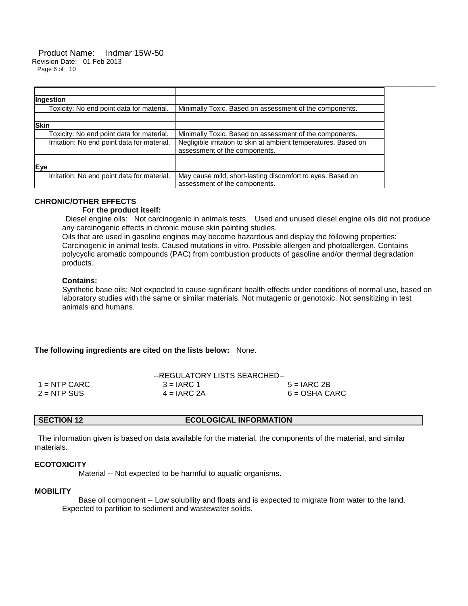#### Product Name: Indmar 15W-50 Revision Date: 01 Feb 2013 Page 6 of 10

| Ingestion                                   |                                                                                                  |
|---------------------------------------------|--------------------------------------------------------------------------------------------------|
| Toxicity: No end point data for material.   | Minimally Toxic. Based on assessment of the components.                                          |
|                                             |                                                                                                  |
| <b>Skin</b>                                 |                                                                                                  |
| Toxicity: No end point data for material.   | Minimally Toxic. Based on assessment of the components.                                          |
| Irritation: No end point data for material. | Negligible irritation to skin at ambient temperatures. Based on<br>assessment of the components. |
|                                             |                                                                                                  |
| Eye                                         |                                                                                                  |
| Irritation: No end point data for material. | May cause mild, short-lasting discomfort to eyes. Based on<br>assessment of the components.      |

# **CHRONIC/OTHER EFFECTS**

# **For the product itself:**

 Diesel engine oils: Not carcinogenic in animals tests. Used and unused diesel engine oils did not produce any carcinogenic effects in chronic mouse skin painting studies.

Oils that are used in gasoline engines may become hazardous and display the following properties: Carcinogenic in animal tests. Caused mutations in vitro. Possible allergen and photoallergen. Contains polycyclic aromatic compounds (PAC) from combustion products of gasoline and/or thermal degradation products.

\_\_\_\_\_\_\_\_\_\_\_\_\_\_\_\_\_\_\_\_\_\_\_\_\_\_\_\_\_\_\_\_\_\_\_\_\_\_\_\_\_\_\_\_\_\_\_\_\_\_\_\_\_\_\_\_\_\_\_\_\_\_\_\_\_\_\_\_\_\_\_\_\_\_\_\_\_\_\_\_\_\_\_\_\_\_\_\_\_\_\_\_\_\_\_\_\_\_\_\_\_\_\_\_\_\_\_\_\_\_\_\_\_\_\_\_\_\_

# **Contains:**

Synthetic base oils: Not expected to cause significant health effects under conditions of normal use, based on laboratory studies with the same or similar materials. Not mutagenic or genotoxic. Not sensitizing in test animals and humans.

**The following ingredients are cited on the lists below:** None.

|                | --REGULATORY LISTS SEARCHED-- |                 |
|----------------|-------------------------------|-----------------|
| $1 =$ NTP CARC | $3 = IARC 1$                  | $5 = IARC2B$    |
| $2 = NTP$ SUS  | $4 = IARC 2A$                 | $6 = OSHA CARC$ |

# **SECTION 12 ECOLOGICAL INFORMATION**

The information given is based on data available for the material, the components of the material, and similar materials.

# **ECOTOXICITY**

Material -- Not expected to be harmful to aquatic organisms.

### **MOBILITY**

 Base oil component -- Low solubility and floats and is expected to migrate from water to the land. Expected to partition to sediment and wastewater solids.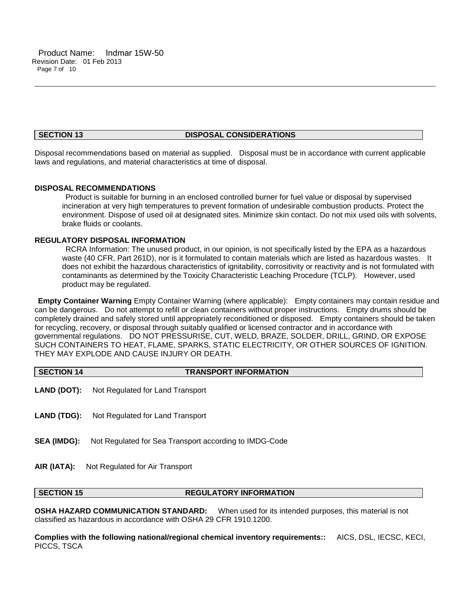# **SECTION 13 DISPOSAL CONSIDERATIONS**

\_\_\_\_\_\_\_\_\_\_\_\_\_\_\_\_\_\_\_\_\_\_\_\_\_\_\_\_\_\_\_\_\_\_\_\_\_\_\_\_\_\_\_\_\_\_\_\_\_\_\_\_\_\_\_\_\_\_\_\_\_\_\_\_\_\_\_\_\_\_\_\_\_\_\_\_\_\_\_\_\_\_\_\_\_\_\_\_\_\_\_\_\_\_\_\_\_\_\_\_\_\_\_\_\_\_\_\_\_\_\_\_\_\_\_\_\_\_

Disposal recommendations based on material as supplied. Disposal must be in accordance with current applicable laws and regulations, and material characteristics at time of disposal.

# **DISPOSAL RECOMMENDATIONS**

Product is suitable for burning in an enclosed controlled burner for fuel value or disposal by supervised incineration at very high temperatures to prevent formation of undesirable combustion products. Protect the environment. Dispose of used oil at designated sites. Minimize skin contact. Do not mix used oils with solvents, brake fluids or coolants.

# **REGULATORY DISPOSAL INFORMATION**

RCRA Information: The unused product, in our opinion, is not specifically listed by the EPA as a hazardous waste (40 CFR, Part 261D), nor is it formulated to contain materials which are listed as hazardous wastes. It does not exhibit the hazardous characteristics of ignitability, corrositivity or reactivity and is not formulated with contaminants as determined by the Toxicity Characteristic Leaching Procedure (TCLP). However, used product may be regulated.

**Empty Container Warning** Empty Container Warning (where applicable): Empty containers may contain residue and can be dangerous. Do not attempt to refill or clean containers without proper instructions. Empty drums should be completely drained and safely stored until appropriately reconditioned or disposed. Empty containers should be taken for recycling, recovery, or disposal through suitably qualified or licensed contractor and in accordance with governmental regulations. DO NOT PRESSURISE, CUT, WELD, BRAZE, SOLDER, DRILL, GRIND, OR EXPOSE SUCH CONTAINERS TO HEAT, FLAME, SPARKS, STATIC ELECTRICITY, OR OTHER SOURCES OF IGNITION. THEY MAY EXPLODE AND CAUSE INJURY OR DEATH.

| <b>SECTION 14</b>  | <b>TRANSPORT INFORMATION</b>                           |
|--------------------|--------------------------------------------------------|
|                    | <b>LAND (DOT):</b> Not Regulated for Land Transport    |
| <b>LAND (TDG):</b> | Not Regulated for Land Transport                       |
| <b>SEA (IMDG):</b> | Not Regulated for Sea Transport according to IMDG-Code |
| AIR (IATA):        | Not Regulated for Air Transport                        |

# **SECTION 15 REGULATORY INFORMATION**

**OSHA HAZARD COMMUNICATION STANDARD:** When used for its intended purposes, this material is not classified as hazardous in accordance with OSHA 29 CFR 1910.1200.

**Complies with the following national/regional chemical inventory requirements::** AICS, DSL, IECSC, KECI, PICCS, TSCA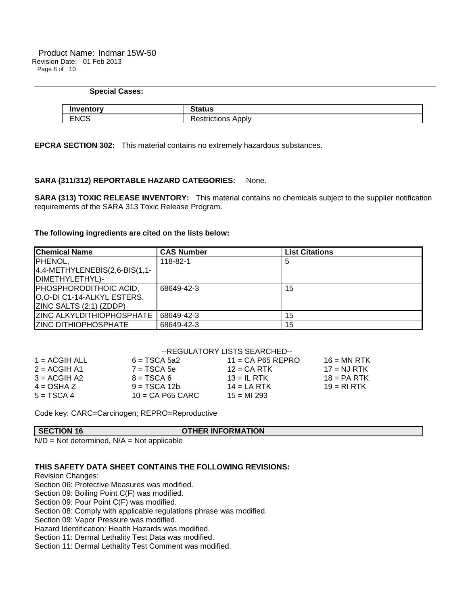| <b>Special Cases:</b> |                           |
|-----------------------|---------------------------|
| Inventory             | <b>Status</b>             |
| <b>ENCS</b>           | <b>Restrictions Apply</b> |

\_\_\_\_\_\_\_\_\_\_\_\_\_\_\_\_\_\_\_\_\_\_\_\_\_\_\_\_\_\_\_\_\_\_\_\_\_\_\_\_\_\_\_\_\_\_\_\_\_\_\_\_\_\_\_\_\_\_\_\_\_\_\_\_\_\_\_\_\_\_\_\_\_\_\_\_\_\_\_\_\_\_\_\_\_\_\_\_\_\_\_\_\_\_\_\_\_\_\_\_\_\_\_\_\_\_\_\_\_\_\_\_\_\_\_\_\_\_

**EPCRA SECTION 302:** This material contains no extremely hazardous substances.

# **SARA (311/312) REPORTABLE HAZARD CATEGORIES:** None.

**SARA (313) TOXIC RELEASE INVENTORY:** This material contains no chemicals subject to the supplier notification requirements of the SARA 313 Toxic Release Program.

# **The following ingredients are cited on the lists below:**

| <b>Chemical Name</b>             | <b>CAS Number</b> | <b>List Citations</b> |
|----------------------------------|-------------------|-----------------------|
| PHENOL,                          | 118-82-1          | 5                     |
| $4,4$ -METHYLENEBIS(2,6-BIS(1,1- |                   |                       |
| DIMETHYLETHYL)-                  |                   |                       |
| PHOSPHORODITHOIC ACID,           | 68649-42-3        | 15                    |
| O,O-DI C1-14-ALKYL ESTERS,       |                   |                       |
| ZINC SALTS (2:1) (ZDDP)          |                   |                       |
| <b>ZINC ALKYLDITHIOPHOSPHATE</b> | 68649-42-3        | 15                    |
| <b>ZINC DITHIOPHOSPHATE</b>      | 68649-42-3        | 15                    |

|                 |                    | --REGULATORY LISTS SEARCHED-- |               |
|-----------------|--------------------|-------------------------------|---------------|
| $1 = ACGIH ALL$ | $6 = TSCA 5a2$     | $11 = CA$ P65 REPRO           | $16 = MN$ RTK |
| $2 = ACGIH A1$  | $7 = TSCA5e$       | $12$ = CA RTK                 | $17 = NJ RTK$ |
| $3 = ACGIH A2$  | $8 = TSCA6$        | $13 = IL$ RTK                 | $18 = PA RTK$ |
| $4 = OSHA Z$    | $9 = TSCA 12b$     | $14 = LA RTK$                 | $19 = RIRTK$  |
| $5 = TSCA4$     | $10 = CA$ P65 CARC | $15 = M1 293$                 |               |

Code key: CARC=Carcinogen; REPRO=Reproductive

| <b>SECTION 16</b> | <b>OTHER INFORMATION</b> |
|-------------------|--------------------------|
|                   |                          |

 $N/D = Not determined$ ,  $N/A = Not applicable$ 

# **THIS SAFETY DATA SHEET CONTAINS THE FOLLOWING REVISIONS:**

Revision Changes:

Section 06: Protective Measures was modified.

Section 09: Boiling Point C(F) was modified.

Section 09: Pour Point C(F) was modified.

Section 08: Comply with applicable regulations phrase was modified.

Section 09: Vapor Pressure was modified.

Hazard Identification: Health Hazards was modified.

Section 11: Dermal Lethality Test Data was modified.

Section 11: Dermal Lethality Test Comment was modified.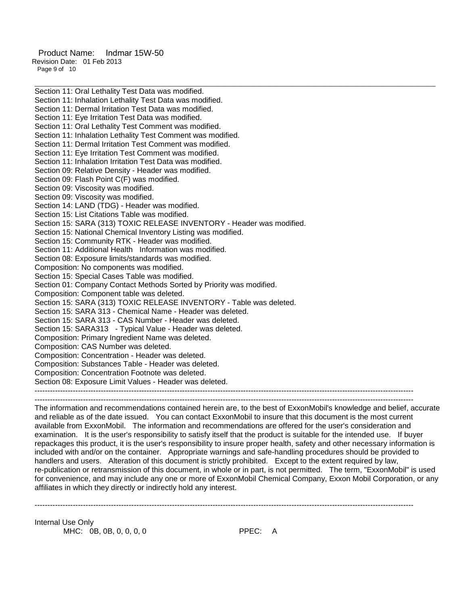Product Name: Indmar 15W-50 Revision Date: 01 Feb 2013 Page 9 of 10

Section 11: Oral Lethality Test Data was modified. Section 11: Inhalation Lethality Test Data was modified. Section 11: Dermal Irritation Test Data was modified. Section 11: Eye Irritation Test Data was modified. Section 11: Oral Lethality Test Comment was modified. Section 11: Inhalation Lethality Test Comment was modified. Section 11: Dermal Irritation Test Comment was modified. Section 11: Eye Irritation Test Comment was modified. Section 11: Inhalation Irritation Test Data was modified. Section 09: Relative Density - Header was modified. Section 09: Flash Point C(F) was modified. Section 09: Viscosity was modified. Section 09: Viscosity was modified. Section 14: LAND (TDG) - Header was modified. Section 15: List Citations Table was modified. Section 15: SARA (313) TOXIC RELEASE INVENTORY - Header was modified. Section 15: National Chemical Inventory Listing was modified. Section 15: Community RTK - Header was modified. Section 11: Additional Health Information was modified. Section 08: Exposure limits/standards was modified. Composition: No components was modified. Section 15: Special Cases Table was modified. Section 01: Company Contact Methods Sorted by Priority was modified. Composition: Component table was deleted. Section 15: SARA (313) TOXIC RELEASE INVENTORY - Table was deleted. Section 15: SARA 313 - Chemical Name - Header was deleted. Section 15: SARA 313 - CAS Number - Header was deleted. Section 15: SARA313 - Typical Value - Header was deleted. Composition: Primary Ingredient Name was deleted. Composition: CAS Number was deleted. Composition: Concentration - Header was deleted. Composition: Substances Table - Header was deleted. Composition: Concentration Footnote was deleted. Section 08: Exposure Limit Values - Header was deleted. ----------------------------------------------------------------------------------------------------------------------------------------------------- -----------------------------------------------------------------------------------------------------------------------------------------------------

\_\_\_\_\_\_\_\_\_\_\_\_\_\_\_\_\_\_\_\_\_\_\_\_\_\_\_\_\_\_\_\_\_\_\_\_\_\_\_\_\_\_\_\_\_\_\_\_\_\_\_\_\_\_\_\_\_\_\_\_\_\_\_\_\_\_\_\_\_\_\_\_\_\_\_\_\_\_\_\_\_\_\_\_\_\_\_\_\_\_\_\_\_\_\_\_\_\_\_\_\_\_\_\_\_\_\_\_\_\_\_\_\_\_\_\_\_\_

The information and recommendations contained herein are, to the best of ExxonMobil's knowledge and belief, accurate and reliable as of the date issued. You can contact ExxonMobil to insure that this document is the most current available from ExxonMobil. The information and recommendations are offered for the user's consideration and examination. It is the user's responsibility to satisfy itself that the product is suitable for the intended use. If buyer repackages this product, it is the user's responsibility to insure proper health, safety and other necessary information is included with and/or on the container. Appropriate warnings and safe-handling procedures should be provided to handlers and users. Alteration of this document is strictly prohibited. Except to the extent required by law, re-publication or retransmission of this document, in whole or in part, is not permitted. The term, "ExxonMobil" is used for convenience, and may include any one or more of ExxonMobil Chemical Company, Exxon Mobil Corporation, or any affiliates in which they directly or indirectly hold any interest.

-----------------------------------------------------------------------------------------------------------------------------------------------------

Internal Use Only MHC: 0B, 0B, 0, 0, 0, 0